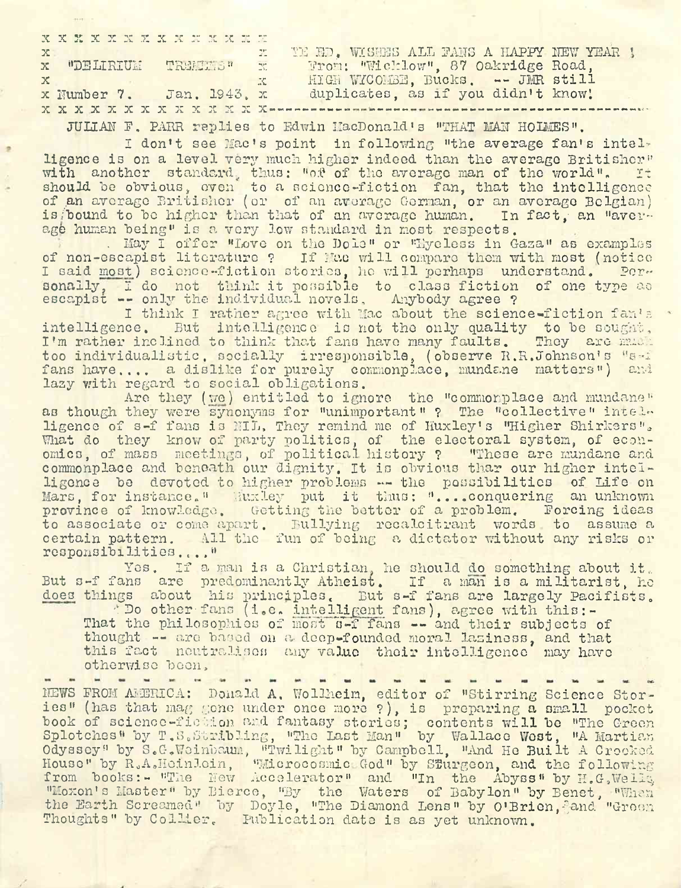|              | X X X X X X X X X X X X X X X |                                                             |  |
|--------------|-------------------------------|-------------------------------------------------------------|--|
| $\mathbf{x}$ |                               | TE ED. WISHES ALL FANS A HAPPY NEW YEAR !<br>$\mathbb{Z}^n$ |  |
|              |                               | x "DELIRIUM TREMENS" x From: "Wicklow", 87 Oakridge Road,   |  |
| $\mathbf{x}$ |                               | HIGH WICOMBE, Bucks, -- JMR still<br>$\mathbf{X}$           |  |
|              | x Number 7.<br>Jan. 1943. x   | duplicates, as if you didn't know!                          |  |
|              |                               |                                                             |  |

JULIAN F. PARR replies to Edwin MacDonald's "THAT MAN HOLMES".

I don't see Mac's point in following "the average fan's intelligence is on a level very much higher indeed than the average Britisher" with another standard, thus: "of of the average man of the world". It should be obvious, oven to a science-fiction fan, that the intelligence of an average Britisher (or of an average German, or an average Belgian) is bound to be higher than that of an average human. In fact, an "averis/bound to be higher than that of an average human. age human being" is a very low standard in most respects.

. May I offer "Love on the Dole" or "Eyeless in Gaza" as examples of non-escapist literature ? If Mac will compare them with most (notice I said most) science-fiction stories, ho will perhaps understand. Per-<br>sonally. I do not think it possible to class fiction of one type as sonally, I do not think it possible to class fiction escapist -- only the individual novels. Anybody agree ?

I think I rather agree with Mac about the science-fiction fan's intelligence. But intelligence is not the only quality to be sought, I'm rather inclined to think that fans have many faults. They are mu-i too individualistic, socially irresponsible, (observe R.R.Johnson'<sup>s</sup> "s-f fans have.... a dislike for purely commonplace, mundane matters") and lazy with regard to social obligations.

Are they (we) entitled to ignore the "commonplace and mundane" as though they were synonyms for "unimportant" ? The "collective" intelligence of s-f fans is NIL, They remind me of Huxley's "Higher Shirkers". What do they know of party politics, of the electoral system, of economics, of mass meetings, of political history ? "These are mundane and commonplace and beneath our dignity. It is obvious thar our higher intelligence be devoted to higher problems — the possibilities of Life on Mars, for instance." Huxley put it thus: "....conquering an unknown province of knowledge. Getting the bettor of a problem. Forcing ideas to associate or come apart. Bullying recalcitrant words to assume a certain pattern. All the fun of being a dictator without any risks or responsibilities .. . , "

Yes. If a man is a Christian, he should do something about it. But s-f fans are predominantly Atheist. If a man is a militarist, ho does things about his principles. But s-f fans are largely Pacifists.

"Do other fans (i.e. intelligent fans), agree with this:-That the philosophies of most s-f fans -- and their subjects of thought — are based on a- deep-founded moral laziness, and that this fact neutralises any value their intelligence may have otherwise boon.

NEWS FROM AMERICA: Donald A. Wollheim, editor of "Stirring Science Stories" (has that mag gone under once more ?), is preparing a small pocket book of science-fiction and fantasy stories; contents will be "The Green Soon of Softhes Thomas Ishowy Stories, Contents with be the cream Odyssey" by S.G.Weinbaum, "Twilight" by Campbell, "And He Built A Crooked House" by R.A.Heinlein, "Microcosmic God" by Sturgeon, and the following from books:- "The New Accelerator" and "In the Abyss" by H.G. Wellq. "Moxon'<sup>s</sup> Master" by Bierce, "By the Waters of Babylon" by Benet, "When the Earth Screamed" by Doyle, "The Diamond Lens" by O'Brien, and "Groen Thoughts" by Collier. Publication date is as yet unknown.